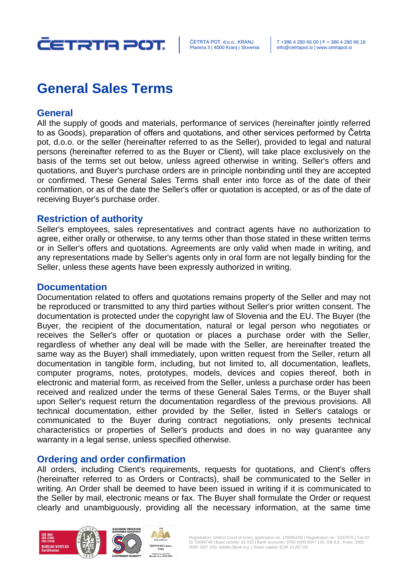

# **General Sales Terms**

## **General**

All the supply of goods and materials, performance of services (hereinafter jointly referred to as Goods), preparation of offers and quotations, and other services performed by Četrta pot, d.o.o. or the seller (hereinafter referred to as the Seller), provided to legal and natural persons (hereinafter referred to as the Buyer or Client), will take place exclusively on the basis of the terms set out below, unless agreed otherwise in writing. Seller's offers and quotations, and Buyer's purchase orders are in principle nonbinding until they are accepted or confirmed. These General Sales Terms shall enter into force as of the date of their confirmation, or as of the date the Seller's offer or quotation is accepted, or as of the date of receiving Buyer's purchase order.

## **Restriction of authority**

Seller's employees, sales representatives and contract agents have no authorization to agree, either orally or otherwise, to any terms other than those stated in these written terms or in Seller's offers and quotations. Agreements are only valid when made in writing, and any representations made by Seller's agents only in oral form are not legally binding for the Seller, unless these agents have been expressly authorized in writing.

## **Documentation**

Documentation related to offers and quotations remains property of the Seller and may not be reproduced or transmitted to any third parties without Seller's prior written consent. The documentation is protected under the copyright law of Slovenia and the EU. The Buyer (the Buyer, the recipient of the documentation, natural or legal person who negotiates or receives the Seller's offer or quotation or places a purchase order with the Seller, regardless of whether any deal will be made with the Seller, are hereinafter treated the same way as the Buyer) shall immediately, upon written request from the Seller, return all documentation in tangible form, including, but not limited to, all documentation, leaflets, computer programs, notes, prototypes, models, devices and copies thereof, both in electronic and material form, as received from the Seller, unless a purchase order has been received and realized under the terms of these General Sales Terms, or the Buyer shall upon Seller's request return the documentation regardless of the previous provisions. All technical documentation, either provided by the Seller, listed in Seller's catalogs or communicated to the Buyer during contract negotiations, only presents technical characteristics or properties of Seller's products and does in no way guarantee any warranty in a legal sense, unless specified otherwise.

## **Ordering and order confirmation**

All orders, including Client's requirements, requests for quotations, and Client's offers (hereinafter referred to as Orders or Contracts), shall be communicated to the Seller in writing. An Order shall be deemed to have been issued in writing if it is communicated to the Seller by mail, electronic means or fax. The Buyer shall formulate the Order or request clearly and unambiguously, providing all the necessary information, at the same time

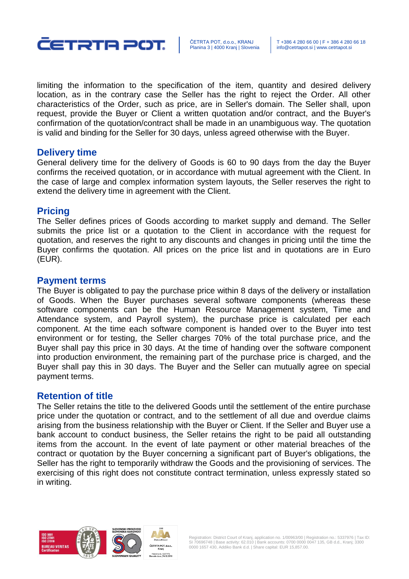

limiting the information to the specification of the item, quantity and desired delivery location, as in the contrary case the Seller has the right to reject the Order. All other characteristics of the Order, such as price, are in Seller's domain. The Seller shall, upon request, provide the Buyer or Client a written quotation and/or contract, and the Buyer's confirmation of the quotation/contract shall be made in an unambiguous way. The quotation is valid and binding for the Seller for 30 days, unless agreed otherwise with the Buyer.

## **Delivery time**

General delivery time for the delivery of Goods is 60 to 90 days from the day the Buyer confirms the received quotation, or in accordance with mutual agreement with the Client. In the case of large and complex information system layouts, the Seller reserves the right to extend the delivery time in agreement with the Client.

## **Pricing**

The Seller defines prices of Goods according to market supply and demand. The Seller submits the price list or a quotation to the Client in accordance with the request for quotation, and reserves the right to any discounts and changes in pricing until the time the Buyer confirms the quotation. All prices on the price list and in quotations are in Euro (EUR).

### **Payment terms**

The Buyer is obligated to pay the purchase price within 8 days of the delivery or installation of Goods. When the Buyer purchases several software components (whereas these software components can be the Human Resource Management system, Time and Attendance system, and Payroll system), the purchase price is calculated per each component. At the time each software component is handed over to the Buyer into test environment or for testing, the Seller charges 70% of the total purchase price, and the Buyer shall pay this price in 30 days. At the time of handing over the software component into production environment, the remaining part of the purchase price is charged, and the Buyer shall pay this in 30 days. The Buyer and the Seller can mutually agree on special payment terms.

## **Retention of title**

The Seller retains the title to the delivered Goods until the settlement of the entire purchase price under the quotation or contract, and to the settlement of all due and overdue claims arising from the business relationship with the Buyer or Client. If the Seller and Buyer use a bank account to conduct business, the Seller retains the right to be paid all outstanding items from the account. In the event of late payment or other material breaches of the contract or quotation by the Buyer concerning a significant part of Buyer's obligations, the Seller has the right to temporarily withdraw the Goods and the provisioning of services. The exercising of this right does not constitute contract termination, unless expressly stated so in writing.

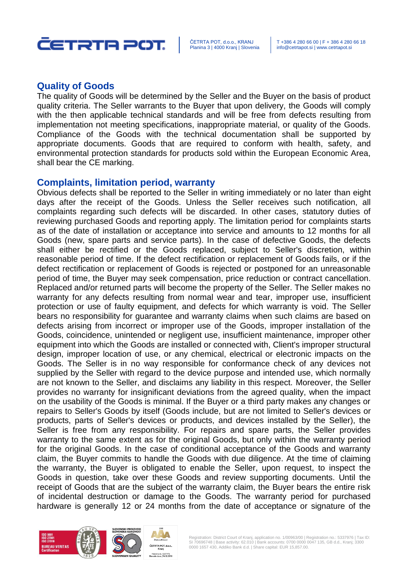

# **Quality of Goods**

The quality of Goods will be determined by the Seller and the Buyer on the basis of product quality criteria. The Seller warrants to the Buyer that upon delivery, the Goods will comply with the then applicable technical standards and will be free from defects resulting from implementation not meeting specifications, inappropriate material, or quality of the Goods. Compliance of the Goods with the technical documentation shall be supported by appropriate documents. Goods that are required to conform with health, safety, and environmental protection standards for products sold within the European Economic Area, shall bear the CE marking.

### **Complaints, limitation period, warranty**

Obvious defects shall be reported to the Seller in writing immediately or no later than eight days after the receipt of the Goods. Unless the Seller receives such notification, all complaints regarding such defects will be discarded. In other cases, statutory duties of reviewing purchased Goods and reporting apply. The limitation period for complaints starts as of the date of installation or acceptance into service and amounts to 12 months for all Goods (new, spare parts and service parts). In the case of defective Goods, the defects shall either be rectified or the Goods replaced, subject to Seller's discretion, within reasonable period of time. If the defect rectification or replacement of Goods fails, or if the defect rectification or replacement of Goods is rejected or postponed for an unreasonable period of time, the Buyer may seek compensation, price reduction or contract cancellation. Replaced and/or returned parts will become the property of the Seller. The Seller makes no warranty for any defects resulting from normal wear and tear, improper use, insufficient protection or use of faulty equipment, and defects for which warranty is void. The Seller bears no responsibility for guarantee and warranty claims when such claims are based on defects arising from incorrect or improper use of the Goods, improper installation of the Goods, coincidence, unintended or negligent use, insufficient maintenance, improper other equipment into which the Goods are installed or connected with, Client's improper structural design, improper location of use, or any chemical, electrical or electronic impacts on the Goods. The Seller is in no way responsible for conformance check of any devices not supplied by the Seller with regard to the device purpose and intended use, which normally are not known to the Seller, and disclaims any liability in this respect. Moreover, the Seller provides no warranty for insignificant deviations from the agreed quality, when the impact on the usability of the Goods is minimal. If the Buyer or a third party makes any changes or repairs to Seller's Goods by itself (Goods include, but are not limited to Seller's devices or products, parts of Seller's devices or products, and devices installed by the Seller), the Seller is free from any responsibility. For repairs and spare parts, the Seller provides warranty to the same extent as for the original Goods, but only within the warranty period for the original Goods. In the case of conditional acceptance of the Goods and warranty claim, the Buyer commits to handle the Goods with due diligence. At the time of claiming the warranty, the Buyer is obligated to enable the Seller, upon request, to inspect the Goods in question, take over these Goods and review supporting documents. Until the receipt of Goods that are the subject of the warranty claim, the Buyer bears the entire risk of incidental destruction or damage to the Goods. The warranty period for purchased hardware is generally 12 or 24 months from the date of acceptance or signature of the

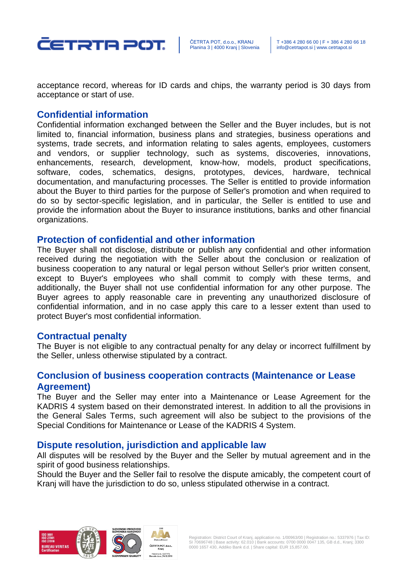

acceptance record, whereas for ID cards and chips, the warranty period is 30 days from acceptance or start of use.

# **Confidential information**

Confidential information exchanged between the Seller and the Buyer includes, but is not limited to, financial information, business plans and strategies, business operations and systems, trade secrets, and information relating to sales agents, employees, customers and vendors, or supplier technology, such as systems, discoveries, innovations, enhancements, research, development, know-how, models, product specifications, software, codes, schematics, designs, prototypes, devices, hardware, technical documentation, and manufacturing processes. The Seller is entitled to provide information about the Buyer to third parties for the purpose of Seller's promotion and when required to do so by sector-specific legislation, and in particular, the Seller is entitled to use and provide the information about the Buyer to insurance institutions, banks and other financial organizations.

### **Protection of confidential and other information**

The Buyer shall not disclose, distribute or publish any confidential and other information received during the negotiation with the Seller about the conclusion or realization of business cooperation to any natural or legal person without Seller's prior written consent, except to Buyer's employees who shall commit to comply with these terms, and additionally, the Buyer shall not use confidential information for any other purpose. The Buyer agrees to apply reasonable care in preventing any unauthorized disclosure of confidential information, and in no case apply this care to a lesser extent than used to protect Buyer's most confidential information.

#### **Contractual penalty**

The Buyer is not eligible to any contractual penalty for any delay or incorrect fulfillment by the Seller, unless otherwise stipulated by a contract.

# **Conclusion of business cooperation contracts (Maintenance or Lease Agreement)**

The Buyer and the Seller may enter into a Maintenance or Lease Agreement for the KADRIS 4 system based on their demonstrated interest. In addition to all the provisions in the General Sales Terms, such agreement will also be subject to the provisions of the Special Conditions for Maintenance or Lease of the KADRIS 4 System.

## **Dispute resolution, jurisdiction and applicable law**

All disputes will be resolved by the Buyer and the Seller by mutual agreement and in the spirit of good business relationships.

Should the Buyer and the Seller fail to resolve the dispute amicably, the competent court of Kranj will have the jurisdiction to do so, unless stipulated otherwise in a contract.